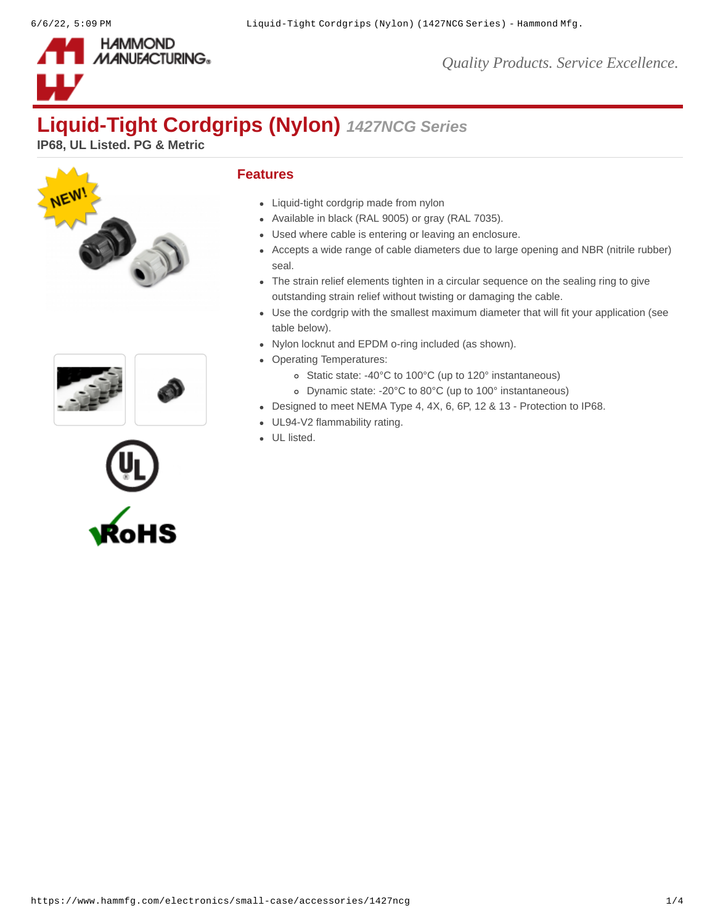

*Quality Products. Service Excellence.*

# **Liquid-Tight Cordgrips (Nylon)** *1427NCG Series*

**IP68, UL Listed. PG & Metric**







### **Features**

- Liquid-tight cordgrip made from nylon
- Available in black (RAL 9005) or gray (RAL 7035).
- Used where cable is entering or leaving an enclosure.
- Accepts a wide range of cable diameters due to large opening and NBR (nitrile rubber) seal.
- The strain relief elements tighten in a circular sequence on the sealing ring to give outstanding strain relief without twisting or damaging the cable.
- Use the cordgrip with the smallest maximum diameter that will fit your application (see table below).
- Nylon locknut and EPDM o-ring included (as shown).
- Operating Temperatures:
	- Static state: -40°C to 100°C (up to 120° instantaneous)
	- Dynamic state: -20°C to 80°C (up to 100° instantaneous)
- Designed to meet NEMA Type 4, 4X, 6, 6P, 12 & 13 Protection to IP68.
- UL94-V2 flammability rating.
- UL listed.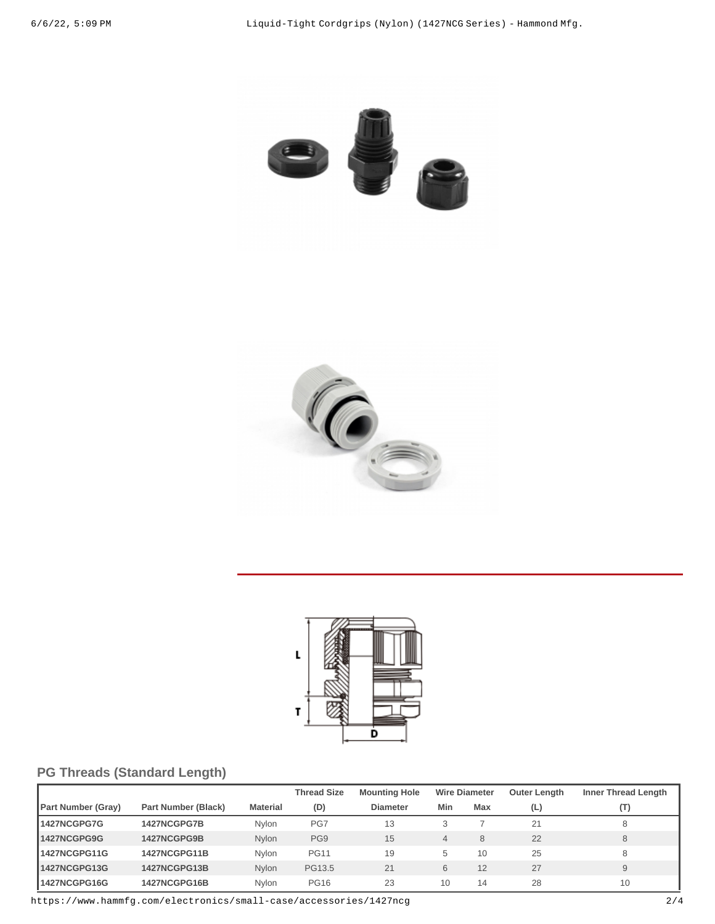





# **PG Threads (Standard Length)**

|                           |                     |                 | <b>Thread Size</b> | <b>Mounting Hole</b> |     | <b>Wire Diameter</b> | <b>Outer Length</b> | <b>Inner Thread Length</b> |
|---------------------------|---------------------|-----------------|--------------------|----------------------|-----|----------------------|---------------------|----------------------------|
| <b>Part Number (Gray)</b> | Part Number (Black) | <b>Material</b> | (D)                | <b>Diameter</b>      | Min | Max                  | (L)                 | (T)                        |
| 1427NCGPG7G               | 1427NCGPG7B         | Nvlon           | PG7                | 13                   | 3   |                      | 21                  |                            |
| 1427NCGPG9G               | 1427NCGPG9B         | <b>Nvlon</b>    | PG9                | 15                   | 4   | 8                    | 22                  | 8                          |
| 1427NCGPG11G              | 1427NCGPG11B        | Nylon           | <b>PG11</b>        | 19                   | 5   | 10                   | 25                  | 8                          |
| 1427NCGPG13G              | 1427NCGPG13B        | Nylon           | PG13.5             | 21                   | 6   | 12                   | 27                  | 9                          |
| 1427NCGPG16G              | 1427NCGPG16B        | Nvlon           | <b>PG16</b>        | 23                   | 10  | 14                   | 28                  | 10                         |

https://www.hammfg.com/electronics/small-case/accessories/1427ncg 2/4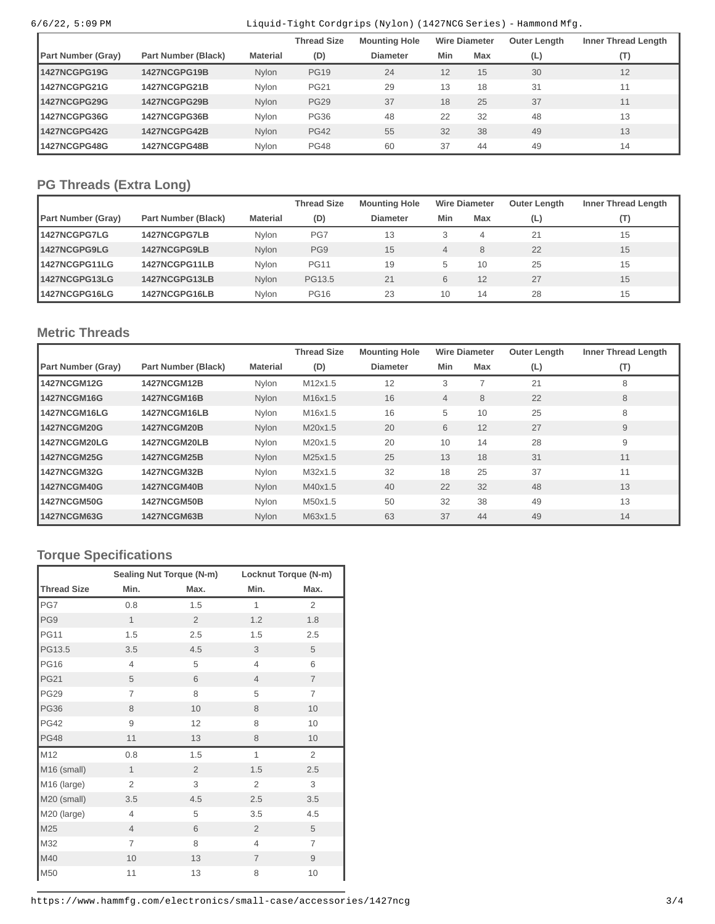### 6/6/22, 5:09 PM Liquid-Tight Cordgrips (Nylon) (1427NCG Series) - Hammond Mfg.

|                    |                     |                 | <b>Thread Size</b> | <b>Mounting Hole</b> |     | <b>Wire Diameter</b> | <b>Outer Length</b> | Inner Thread Length |
|--------------------|---------------------|-----------------|--------------------|----------------------|-----|----------------------|---------------------|---------------------|
| Part Number (Gray) | Part Number (Black) | <b>Material</b> | (D)                | <b>Diameter</b>      | Min | Max                  | (L)                 | (T)                 |
| 1427NCGPG19G       | 1427NCGPG19B        | Nylon           | <b>PG19</b>        | 24                   | 12  | 15                   | 30                  | 12                  |
| 1427NCGPG21G       | 1427NCGPG21B        | Nvlon           | <b>PG21</b>        | 29                   | 13  | 18                   | 31                  | 11                  |
| 1427NCGPG29G       | 1427NCGPG29B        | Nylon           | <b>PG29</b>        | 37                   | 18  | 25                   | 37                  | 11                  |
| 1427NCGPG36G       | 1427NCGPG36B        | Nvlon           | <b>PG36</b>        | 48                   | 22  | 32                   | 48                  | 13                  |
| 1427NCGPG42G       | 1427NCGPG42B        | Nylon           | <b>PG42</b>        | 55                   | 32  | 38                   | 49                  | 13                  |
| 1427NCGPG48G       | 1427NCGPG48B        | Nylon           | <b>PG48</b>        | 60                   | 37  | 44                   | 49                  | 14                  |

# **PG Threads (Extra Long)**

|                           |                     |                 | <b>Thread Size</b> | <b>Mounting Hole</b> |                | <b>Wire Diameter</b> | Outer Length | <b>Inner Thread Length</b> |
|---------------------------|---------------------|-----------------|--------------------|----------------------|----------------|----------------------|--------------|----------------------------|
| <b>Part Number (Gray)</b> | Part Number (Black) | <b>Material</b> | (D)                | <b>Diameter</b>      | Min            | Max                  | (L)          | $(\mathsf{T})$             |
| 1427NCGPG7LG              | 1427NCGPG7LB        | Nvlon           | PG7                | 13                   | 3              | 4                    | 21           | 15                         |
| 1427NCGPG9LG              | 1427NCGPG9LB        | Nylon           | PG9                | 15                   | $\overline{4}$ | 8                    | 22           | 15                         |
| 1427NCGPG11LG             | 1427NCGPG11LB       | Nvlon           | <b>PG11</b>        | 19                   | 5              | 10                   | 25           | 15                         |
| 1427NCGPG13LG             | 1427NCGPG13LB       | Nvlon           | PG13.5             | 21                   | 6              | 12                   | 27           | 15                         |
| 1427NCGPG16LG             | 1427NCGPG16LB       | Nvlon           | <b>PG16</b>        | 23                   | 10             | 14                   | 28           | 15                         |

## **Metric Threads**

|                           |                     |          | <b>Thread Size</b> | <b>Mounting Hole</b> |                | <b>Wire Diameter</b> | <b>Outer Length</b> | <b>Inner Thread Length</b> |
|---------------------------|---------------------|----------|--------------------|----------------------|----------------|----------------------|---------------------|----------------------------|
| <b>Part Number (Gray)</b> | Part Number (Black) | Material | (D)                | <b>Diameter</b>      | Min            | Max                  | (L)                 | (T)                        |
| 1427NCGM12G               | <b>1427NCGM12B</b>  | Nylon    | M12x1.5            | 12                   | 3              |                      | 21                  | 8                          |
| 1427NCGM16G               | <b>1427NCGM16B</b>  | Nylon    | M16x1.5            | 16                   | $\overline{4}$ | 8                    | 22                  | 8                          |
| 1427NCGM16LG              | 1427NCGM16LB        | Nylon    | M16x1.5            | 16                   | 5              | 10                   | 25                  | 8                          |
| 1427NCGM20G               | <b>1427NCGM20B</b>  | Nylon    | M20x1.5            | 20                   | 6              | 12                   | 27                  | 9                          |
| <b>1427NCGM20LG</b>       | 1427NCGM20LB        | Nylon    | M20x1.5            | 20                   | 10             | 14                   | 28                  | 9                          |
| 1427NCGM25G               | <b>1427NCGM25B</b>  | Nylon    | M25x1.5            | 25                   | 13             | 18                   | 31                  | 11                         |
| 1427NCGM32G               | <b>1427NCGM32B</b>  | Nylon    | M32x1.5            | 32                   | 18             | 25                   | 37                  | 11                         |
| <b>1427NCGM40G</b>        | <b>1427NCGM40B</b>  | Nylon    | M40x1.5            | 40                   | 22             | 32                   | 48                  | 13                         |
| <b>1427NCGM50G</b>        | <b>1427NCGM50B</b>  | Nylon    | M50x1.5            | 50                   | 32             | 38                   | 49                  | 13                         |
| 1427NCGM63G               | <b>1427NCGM63B</b>  | Nylon    | M63x1.5            | 63                   | 37             | 44                   | 49                  | 14                         |

# **Torque Specifications**

|                    |                | Sealing Nut Torque (N-m) | Locknut Torque (N-m) |                |  |
|--------------------|----------------|--------------------------|----------------------|----------------|--|
| <b>Thread Size</b> | Min.           | Max.                     | Min.                 | Max.           |  |
| PG7                | 0.8            | 1.5                      | $\mathbf{1}$         | 2              |  |
| PG9                | $\mathbf{1}$   | $\overline{2}$           | 1.2                  | 1.8            |  |
| <b>PG11</b>        | 1.5            | 2.5                      | 1.5                  | 2.5            |  |
| PG13.5             | 3.5            | 4.5                      | 3                    | 5              |  |
| <b>PG16</b>        | $\overline{4}$ | 5                        | $\overline{4}$       | 6              |  |
| <b>PG21</b>        | 5              | 6                        | $\overline{4}$       | $\overline{7}$ |  |
| <b>PG29</b>        | $\overline{7}$ | 8                        | 5                    | $\overline{7}$ |  |
| <b>PG36</b>        | 8              | 10                       | 8                    | 10             |  |
| <b>PG42</b>        | 9              | 12                       | 8                    | 10             |  |
| <b>PG48</b>        | 11             | 13                       | 8                    | 10             |  |
| M12                | 0.8            | 1.5                      | $\mathbf{1}$         | 2              |  |
| M16 (small)        | $\mathbf{1}$   | $\overline{2}$           | 1.5                  | 2.5            |  |
| M16 (large)        | $\overline{c}$ | 3                        | 2                    | 3              |  |
| M20 (small)        | 3.5            | 4.5                      | 2.5                  | 3.5            |  |
| M20 (large)        | $\overline{4}$ | 5                        | 3.5                  | 4.5            |  |
| M25                | $\overline{4}$ | 6                        | $\overline{2}$       | 5              |  |
| M32                | $\overline{7}$ | 8                        | 4                    | $\overline{7}$ |  |
| M40                | 10             | 13                       | $\overline{7}$       | 9              |  |
| M50                | 11             | 13                       | 8                    | 10             |  |